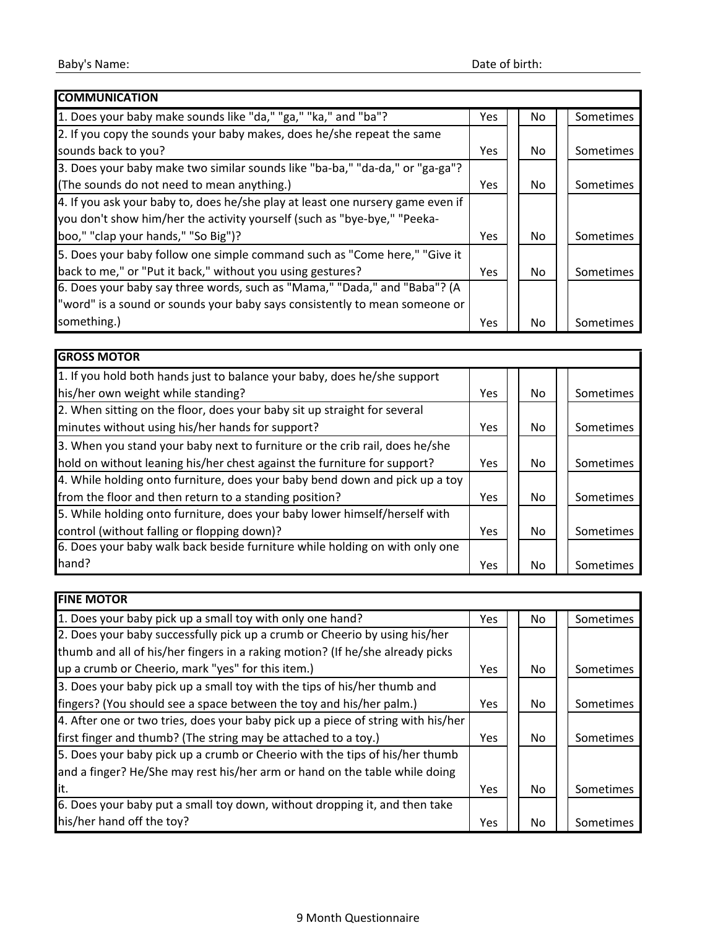| <b>COMMUNICATION</b>                                                           |            |     |           |
|--------------------------------------------------------------------------------|------------|-----|-----------|
| 1. Does your baby make sounds like "da," "ga," "ka," and "ba"?                 | Yes.       | No  | Sometimes |
| 2. If you copy the sounds your baby makes, does he/she repeat the same         |            |     |           |
| sounds back to you?                                                            | <b>Yes</b> | No  | Sometimes |
| 3. Does your baby make two similar sounds like "ba-ba," "da-da," or "ga-ga"?   |            |     |           |
| (The sounds do not need to mean anything.)                                     | <b>Yes</b> | No  | Sometimes |
| 4. If you ask your baby to, does he/she play at least one nursery game even if |            |     |           |
| you don't show him/her the activity yourself (such as "bye-bye," "Peeka-       |            |     |           |
| boo," "clap your hands," "So Big")?                                            | Yes.       | No  | Sometimes |
| 5. Does your baby follow one simple command such as "Come here," "Give it      |            |     |           |
| back to me," or "Put it back," without you using gestures?                     | Yes.       | No. | Sometimes |
| 6. Does your baby say three words, such as "Mama," "Dada," and "Baba"? (A      |            |     |           |
| "word" is a sound or sounds your baby says consistently to mean someone or     |            |     |           |
| something.)                                                                    | Yes        | No. | Sometimes |

| <b>GROSS MOTOR</b>                                                          |            |     |           |
|-----------------------------------------------------------------------------|------------|-----|-----------|
| 1. If you hold both hands just to balance your baby, does he/she support    |            |     |           |
| his/her own weight while standing?                                          | <b>Yes</b> | No. | Sometimes |
| 2. When sitting on the floor, does your baby sit up straight for several    |            |     |           |
| minutes without using his/her hands for support?                            | Yes        | No. | Sometimes |
| 3. When you stand your baby next to furniture or the crib rail, does he/she |            |     |           |
| hold on without leaning his/her chest against the furniture for support?    | <b>Yes</b> | No. | Sometimes |
| 4. While holding onto furniture, does your baby bend down and pick up a toy |            |     |           |
| from the floor and then return to a standing position?                      | Yes        | No. | Sometimes |
| 5. While holding onto furniture, does your baby lower himself/herself with  |            |     |           |
| control (without falling or flopping down)?                                 | Yes        | No. | Sometimes |
| 6. Does your baby walk back beside furniture while holding on with only one |            |     |           |
| hand?                                                                       | Yes        | No. | Sometimes |

| <b>FINE MOTOR</b>                                                                |            |     |           |
|----------------------------------------------------------------------------------|------------|-----|-----------|
| 1. Does your baby pick up a small toy with only one hand?                        | <b>Yes</b> | No  | Sometimes |
| 2. Does your baby successfully pick up a crumb or Cheerio by using his/her       |            |     |           |
| thumb and all of his/her fingers in a raking motion? (If he/she already picks    |            |     |           |
| up a crumb or Cheerio, mark "yes" for this item.)                                | <b>Yes</b> | No  | Sometimes |
| 3. Does your baby pick up a small toy with the tips of his/her thumb and         |            |     |           |
| fingers? (You should see a space between the toy and his/her palm.)              | <b>Yes</b> | No. | Sometimes |
| 4. After one or two tries, does your baby pick up a piece of string with his/her |            |     |           |
| first finger and thumb? (The string may be attached to a toy.)                   | Yes        | No  | Sometimes |
| 5. Does your baby pick up a crumb or Cheerio with the tips of his/her thumb      |            |     |           |
| and a finger? He/She may rest his/her arm or hand on the table while doing       |            |     |           |
| lit.                                                                             | Yes        | No  | Sometimes |
| 6. Does your baby put a small toy down, without dropping it, and then take       |            |     |           |
| his/her hand off the toy?                                                        | Yes        | No  | Sometimes |